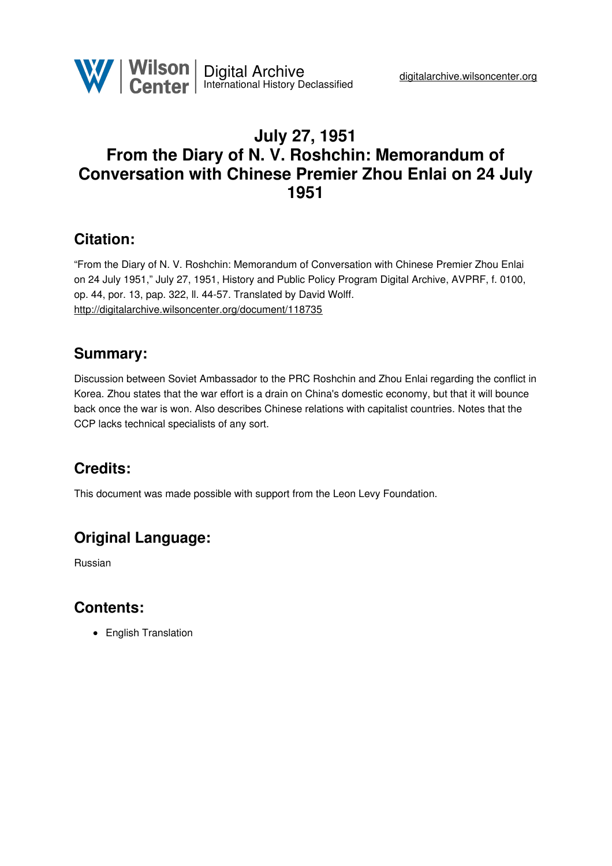

# **July 27, 1951 From the Diary of N. V. Roshchin: Memorandum of Conversation with Chinese Premier Zhou Enlai on 24 July 1951**

## **Citation:**

"From the Diary of N. V. Roshchin: Memorandum of Conversation with Chinese Premier Zhou Enlai on 24 July 1951," July 27, 1951, History and Public Policy Program Digital Archive, AVPRF, f. 0100, op. 44, por. 13, pap. 322, ll. 44-57. Translated by David Wolff. <http://digitalarchive.wilsoncenter.org/document/118735>

## **Summary:**

Discussion between Soviet Ambassador to the PRC Roshchin and Zhou Enlai regarding the conflict in Korea. Zhou states that the war effort is a drain on China's domestic economy, but that it will bounce back once the war is won. Also describes Chinese relations with capitalist countries. Notes that the CCP lacks technical specialists of any sort.

# **Credits:**

This document was made possible with support from the Leon Levy Foundation.

# **Original Language:**

Russian

## **Contents:**

• English Translation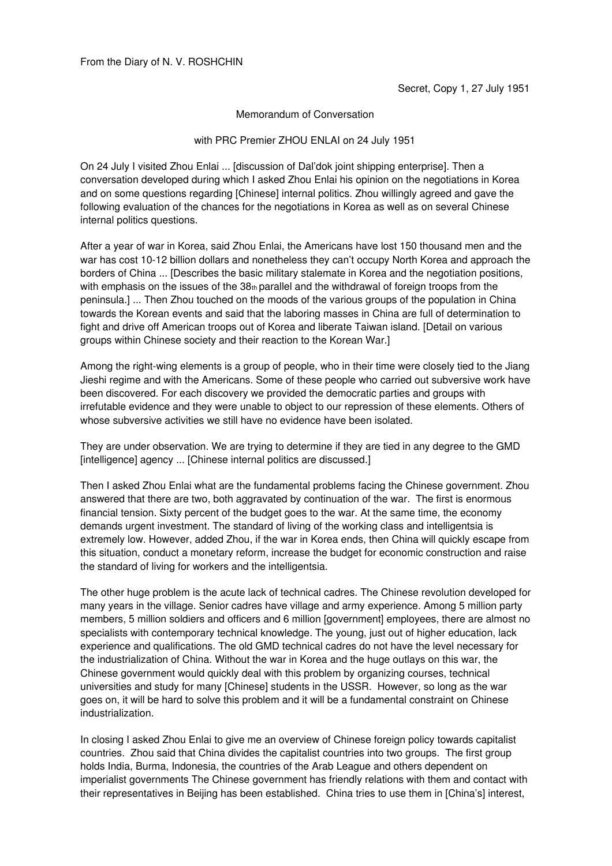#### Memorandum of Conversation

#### with PRC Premier ZHOU ENLAI on 24 July 1951

On 24 July I visited Zhou Enlai ... [discussion of Dal'dok joint shipping enterprise]. Then a conversation developed during which I asked Zhou Enlai his opinion on the negotiations in Korea and on some questions regarding [Chinese] internal politics. Zhou willingly agreed and gave the following evaluation of the chances for the negotiations in Korea as well as on several Chinese internal politics questions.

After a year of war in Korea, said Zhou Enlai, the Americans have lost 150 thousand men and the war has cost 10-12 billion dollars and nonetheless they can't occupy North Korea and approach the borders of China ... [Describes the basic military stalemate in Korea and the negotiation positions, with emphasis on the issues of the 38th parallel and the withdrawal of foreign troops from the peninsula.] ... Then Zhou touched on the moods of the various groups of the population in China towards the Korean events and said that the laboring masses in China are full of determination to fight and drive off American troops out of Korea and liberate Taiwan island. [Detail on various groups within Chinese society and their reaction to the Korean War.]

Among the right-wing elements is a group of people, who in their time were closely tied to the Jiang Jieshi regime and with the Americans. Some of these people who carried out subversive work have been discovered. For each discovery we provided the democratic parties and groups with irrefutable evidence and they were unable to object to our repression of these elements. Others of whose subversive activities we still have no evidence have been isolated.

They are under observation. We are trying to determine if they are tied in any degree to the GMD [intelligence] agency ... [Chinese internal politics are discussed.]

Then I asked Zhou Enlai what are the fundamental problems facing the Chinese government. Zhou answered that there are two, both aggravated by continuation of the war. The first is enormous financial tension. Sixty percent of the budget goes to the war. At the same time, the economy demands urgent investment. The standard of living of the working class and intelligentsia is extremely low. However, added Zhou, if the war in Korea ends, then China will quickly escape from this situation, conduct a monetary reform, increase the budget for economic construction and raise the standard of living for workers and the intelligentsia.

The other huge problem is the acute lack of technical cadres. The Chinese revolution developed for many years in the village. Senior cadres have village and army experience. Among 5 million party members, 5 million soldiers and officers and 6 million [government] employees, there are almost no specialists with contemporary technical knowledge. The young, just out of higher education, lack experience and qualifications. The old GMD technical cadres do not have the level necessary for the industrialization of China. Without the war in Korea and the huge outlays on this war, the Chinese government would quickly deal with this problem by organizing courses, technical universities and study for many [Chinese] students in the USSR. However, so long as the war goes on, it will be hard to solve this problem and it will be a fundamental constraint on Chinese industrialization.

In closing I asked Zhou Enlai to give me an overview of Chinese foreign policy towards capitalist countries. Zhou said that China divides the capitalist countries into two groups. The first group holds India, Burma, Indonesia, the countries of the Arab League and others dependent on imperialist governments The Chinese government has friendly relations with them and contact with their representatives in Beijing has been established. China tries to use them in [China's] interest,